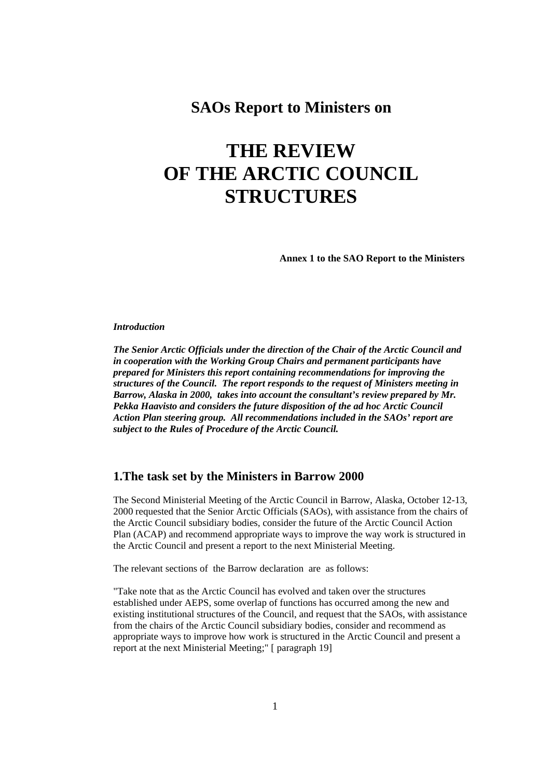# **SAOs Report to Ministers on**

# **THE REVIEW OF THE ARCTIC COUNCIL STRUCTURES**

**Annex 1 to the SAO Report to the Ministers** 

#### *Introduction*

*The Senior Arctic Officials under the direction of the Chair of the Arctic Council and in cooperation with the Working Group Chairs and permanent participants have prepared for Ministers this report containing recommendations for improving the structures of the Council. The report responds to the request of Ministers meeting in Barrow, Alaska in 2000, takes into account the consultant's review prepared by Mr. Pekka Haavisto and considers the future disposition of the ad hoc Arctic Council Action Plan steering group. All recommendations included in the SAOs' report are subject to the Rules of Procedure of the Arctic Council.* 

## **1.The task set by the Ministers in Barrow 2000**

The Second Ministerial Meeting of the Arctic Council in Barrow, Alaska, October 12-13, 2000 requested that the Senior Arctic Officials (SAOs), with assistance from the chairs of the Arctic Council subsidiary bodies, consider the future of the Arctic Council Action Plan (ACAP) and recommend appropriate ways to improve the way work is structured in the Arctic Council and present a report to the next Ministerial Meeting.

The relevant sections of the Barrow declaration are as follows:

"Take note that as the Arctic Council has evolved and taken over the structures established under AEPS, some overlap of functions has occurred among the new and existing institutional structures of the Council, and request that the SAOs, with assistance from the chairs of the Arctic Council subsidiary bodies, consider and recommend as appropriate ways to improve how work is structured in the Arctic Council and present a report at the next Ministerial Meeting;" [ paragraph 19]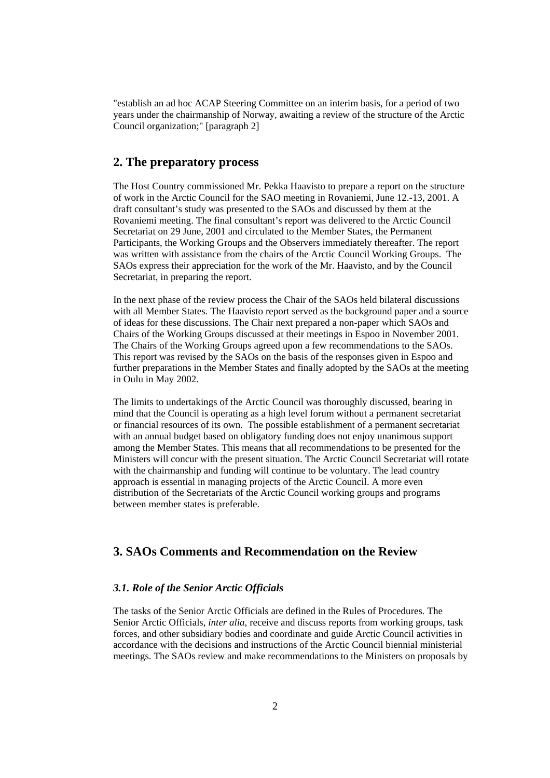"establish an ad hoc ACAP Steering Committee on an interim basis, for a period of two years under the chairmanship of Norway, awaiting a review of the structure of the Arctic Council organization;" [paragraph 2]

## **2. The preparatory process**

The Host Country commissioned Mr. Pekka Haavisto to prepare a report on the structure of work in the Arctic Council for the SAO meeting in Rovaniemi, June 12.-13, 2001. A draft consultant's study was presented to the SAOs and discussed by them at the Rovaniemi meeting. The final consultant's report was delivered to the Arctic Council Secretariat on 29 June, 2001 and circulated to the Member States, the Permanent Participants, the Working Groups and the Observers immediately thereafter. The report was written with assistance from the chairs of the Arctic Council Working Groups. The SAOs express their appreciation for the work of the Mr. Haavisto, and by the Council Secretariat, in preparing the report.

In the next phase of the review process the Chair of the SAOs held bilateral discussions with all Member States. The Haavisto report served as the background paper and a source of ideas for these discussions. The Chair next prepared a non-paper which SAOs and Chairs of the Working Groups discussed at their meetings in Espoo in November 2001. The Chairs of the Working Groups agreed upon a few recommendations to the SAOs. This report was revised by the SAOs on the basis of the responses given in Espoo and further preparations in the Member States and finally adopted by the SAOs at the meeting in Oulu in May 2002.

The limits to undertakings of the Arctic Council was thoroughly discussed, bearing in mind that the Council is operating as a high level forum without a permanent secretariat or financial resources of its own. The possible establishment of a permanent secretariat with an annual budget based on obligatory funding does not enjoy unanimous support among the Member States. This means that all recommendations to be presented for the Ministers will concur with the present situation. The Arctic Council Secretariat will rotate with the chairmanship and funding will continue to be voluntary. The lead country approach is essential in managing projects of the Arctic Council. A more even distribution of the Secretariats of the Arctic Council working groups and programs between member states is preferable.

## **3. SAOs Comments and Recommendation on the Review**

#### *3.1. Role of the Senior Arctic Officials*

The tasks of the Senior Arctic Officials are defined in the Rules of Procedures. The Senior Arctic Officials, *inter alia*, receive and discuss reports from working groups, task forces, and other subsidiary bodies and coordinate and guide Arctic Council activities in accordance with the decisions and instructions of the Arctic Council biennial ministerial meetings. The SAOs review and make recommendations to the Ministers on proposals by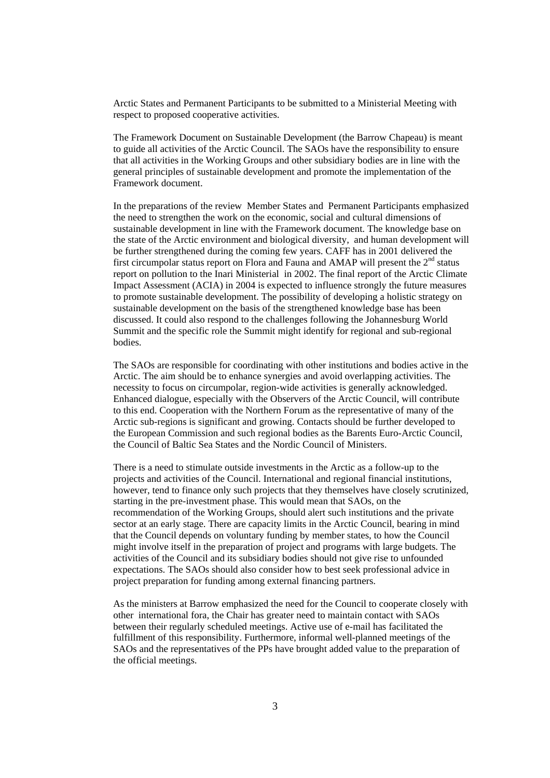Arctic States and Permanent Participants to be submitted to a Ministerial Meeting with respect to proposed cooperative activities.

The Framework Document on Sustainable Development (the Barrow Chapeau) is meant to guide all activities of the Arctic Council. The SAOs have the responsibility to ensure that all activities in the Working Groups and other subsidiary bodies are in line with the general principles of sustainable development and promote the implementation of the Framework document.

In the preparations of the review Member States and Permanent Participants emphasized the need to strengthen the work on the economic, social and cultural dimensions of sustainable development in line with the Framework document. The knowledge base on the state of the Arctic environment and biological diversity, and human development will be further strengthened during the coming few years. CAFF has in 2001 delivered the first circumpolar status report on Flora and Fauna and AMAP will present the  $2<sup>nd</sup>$  status report on pollution to the Inari Ministerial in 2002. The final report of the Arctic Climate Impact Assessment (ACIA) in 2004 is expected to influence strongly the future measures to promote sustainable development. The possibility of developing a holistic strategy on sustainable development on the basis of the strengthened knowledge base has been discussed. It could also respond to the challenges following the Johannesburg World Summit and the specific role the Summit might identify for regional and sub-regional bodies.

The SAOs are responsible for coordinating with other institutions and bodies active in the Arctic. The aim should be to enhance synergies and avoid overlapping activities. The necessity to focus on circumpolar, region-wide activities is generally acknowledged. Enhanced dialogue, especially with the Observers of the Arctic Council, will contribute to this end. Cooperation with the Northern Forum as the representative of many of the Arctic sub-regions is significant and growing. Contacts should be further developed to the European Commission and such regional bodies as the Barents Euro-Arctic Council, the Council of Baltic Sea States and the Nordic Council of Ministers.

There is a need to stimulate outside investments in the Arctic as a follow-up to the projects and activities of the Council. International and regional financial institutions, however, tend to finance only such projects that they themselves have closely scrutinized, starting in the pre-investment phase. This would mean that SAOs, on the recommendation of the Working Groups, should alert such institutions and the private sector at an early stage. There are capacity limits in the Arctic Council, bearing in mind that the Council depends on voluntary funding by member states, to how the Council might involve itself in the preparation of project and programs with large budgets. The activities of the Council and its subsidiary bodies should not give rise to unfounded expectations. The SAOs should also consider how to best seek professional advice in project preparation for funding among external financing partners.

As the ministers at Barrow emphasized the need for the Council to cooperate closely with other international fora, the Chair has greater need to maintain contact with SAOs between their regularly scheduled meetings. Active use of e-mail has facilitated the fulfillment of this responsibility. Furthermore, informal well-planned meetings of the SAOs and the representatives of the PPs have brought added value to the preparation of the official meetings.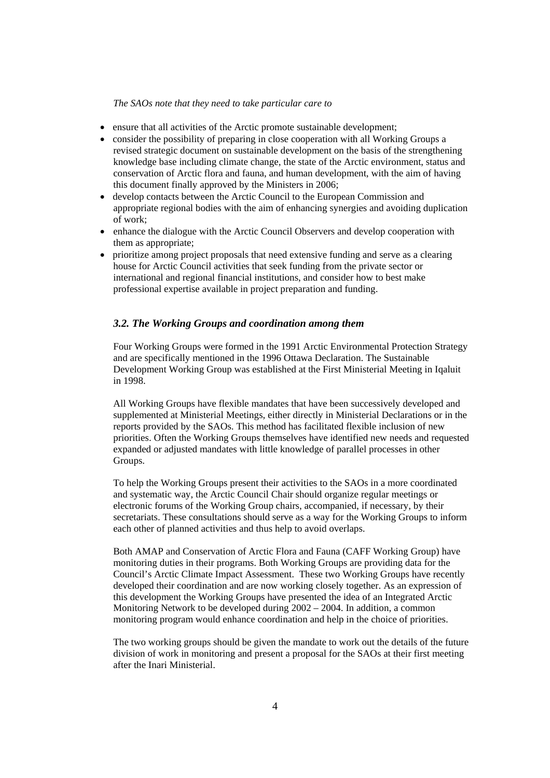#### *The SAOs note that they need to take particular care to*

- ensure that all activities of the Arctic promote sustainable development;
- consider the possibility of preparing in close cooperation with all Working Groups a revised strategic document on sustainable development on the basis of the strengthening knowledge base including climate change, the state of the Arctic environment, status and conservation of Arctic flora and fauna, and human development, with the aim of having this document finally approved by the Ministers in 2006;
- develop contacts between the Arctic Council to the European Commission and appropriate regional bodies with the aim of enhancing synergies and avoiding duplication of work;
- enhance the dialogue with the Arctic Council Observers and develop cooperation with them as appropriate;
- prioritize among project proposals that need extensive funding and serve as a clearing house for Arctic Council activities that seek funding from the private sector or international and regional financial institutions, and consider how to best make professional expertise available in project preparation and funding.

## *3.2. The Working Groups and coordination among them*

Four Working Groups were formed in the 1991 Arctic Environmental Protection Strategy and are specifically mentioned in the 1996 Ottawa Declaration. The Sustainable Development Working Group was established at the First Ministerial Meeting in Iqaluit in 1998.

All Working Groups have flexible mandates that have been successively developed and supplemented at Ministerial Meetings, either directly in Ministerial Declarations or in the reports provided by the SAOs. This method has facilitated flexible inclusion of new priorities. Often the Working Groups themselves have identified new needs and requested expanded or adjusted mandates with little knowledge of parallel processes in other Groups.

To help the Working Groups present their activities to the SAOs in a more coordinated and systematic way, the Arctic Council Chair should organize regular meetings or electronic forums of the Working Group chairs, accompanied, if necessary, by their secretariats. These consultations should serve as a way for the Working Groups to inform each other of planned activities and thus help to avoid overlaps.

Both AMAP and Conservation of Arctic Flora and Fauna (CAFF Working Group) have monitoring duties in their programs. Both Working Groups are providing data for the Council's Arctic Climate Impact Assessment. These two Working Groups have recently developed their coordination and are now working closely together. As an expression of this development the Working Groups have presented the idea of an Integrated Arctic Monitoring Network to be developed during 2002 – 2004. In addition, a common monitoring program would enhance coordination and help in the choice of priorities.

The two working groups should be given the mandate to work out the details of the future division of work in monitoring and present a proposal for the SAOs at their first meeting after the Inari Ministerial.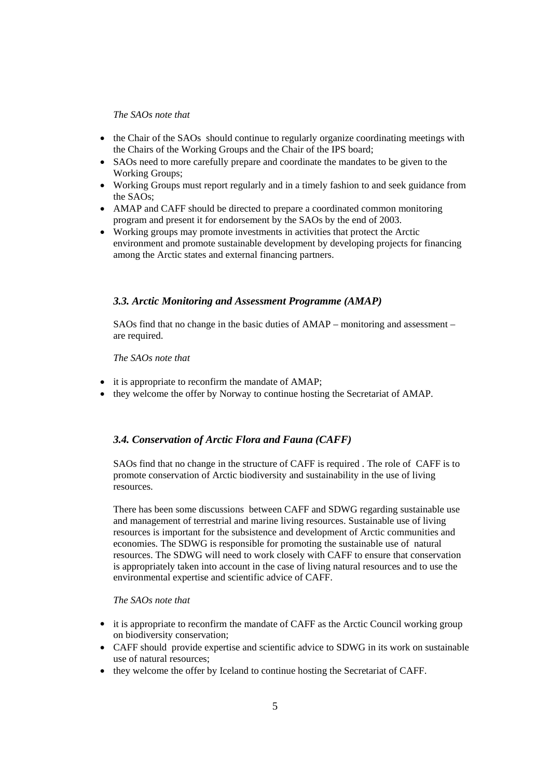#### *The SAOs note that*

- the Chair of the SAOs should continue to regularly organize coordinating meetings with the Chairs of the Working Groups and the Chair of the IPS board;
- SAOs need to more carefully prepare and coordinate the mandates to be given to the Working Groups;
- Working Groups must report regularly and in a timely fashion to and seek guidance from the SAOs;
- AMAP and CAFF should be directed to prepare a coordinated common monitoring program and present it for endorsement by the SAOs by the end of 2003.
- Working groups may promote investments in activities that protect the Arctic environment and promote sustainable development by developing projects for financing among the Arctic states and external financing partners.

## *3.3. Arctic Monitoring and Assessment Programme (AMAP)*

SAOs find that no change in the basic duties of AMAP – monitoring and assessment – are required.

*The SAOs note that* 

- it is appropriate to reconfirm the mandate of AMAP;
- they welcome the offer by Norway to continue hosting the Secretariat of AMAP.

## *3.4. Conservation of Arctic Flora and Fauna (CAFF)*

SAOs find that no change in the structure of CAFF is required . The role of CAFF is to promote conservation of Arctic biodiversity and sustainability in the use of living resources.

There has been some discussions between CAFF and SDWG regarding sustainable use and management of terrestrial and marine living resources. Sustainable use of living resources is important for the subsistence and development of Arctic communities and economies. The SDWG is responsible for promoting the sustainable use of natural resources. The SDWG will need to work closely with CAFF to ensure that conservation is appropriately taken into account in the case of living natural resources and to use the environmental expertise and scientific advice of CAFF.

## *The SAOs note that*

- it is appropriate to reconfirm the mandate of CAFF as the Arctic Council working group on biodiversity conservation;
- CAFF should provide expertise and scientific advice to SDWG in its work on sustainable use of natural resources;
- they welcome the offer by Iceland to continue hosting the Secretariat of CAFF.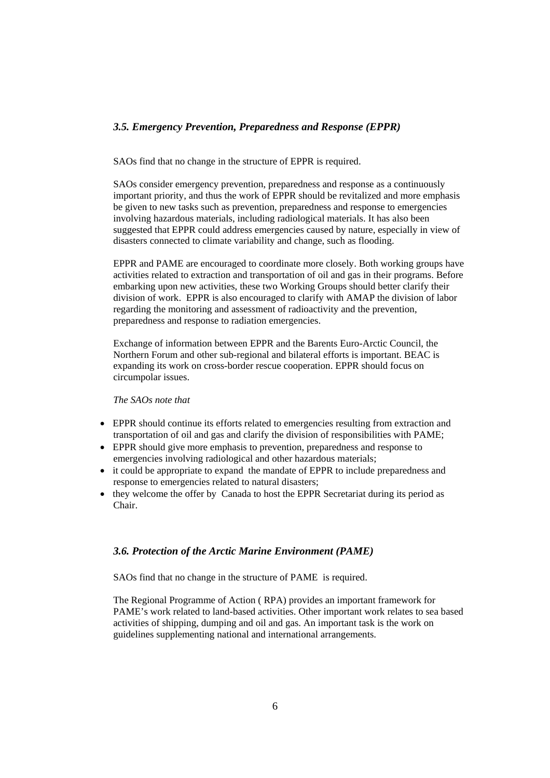## *3.5. Emergency Prevention, Preparedness and Response (EPPR)*

SAOs find that no change in the structure of EPPR is required.

SAOs consider emergency prevention, preparedness and response as a continuously important priority, and thus the work of EPPR should be revitalized and more emphasis be given to new tasks such as prevention, preparedness and response to emergencies involving hazardous materials, including radiological materials. It has also been suggested that EPPR could address emergencies caused by nature, especially in view of disasters connected to climate variability and change, such as flooding.

EPPR and PAME are encouraged to coordinate more closely. Both working groups have activities related to extraction and transportation of oil and gas in their programs. Before embarking upon new activities, these two Working Groups should better clarify their division of work. EPPR is also encouraged to clarify with AMAP the division of labor regarding the monitoring and assessment of radioactivity and the prevention, preparedness and response to radiation emergencies.

Exchange of information between EPPR and the Barents Euro-Arctic Council, the Northern Forum and other sub-regional and bilateral efforts is important. BEAC is expanding its work on cross-border rescue cooperation. EPPR should focus on circumpolar issues.

*The SAOs note that* 

- EPPR should continue its efforts related to emergencies resulting from extraction and transportation of oil and gas and clarify the division of responsibilities with PAME;
- EPPR should give more emphasis to prevention, preparedness and response to emergencies involving radiological and other hazardous materials;
- it could be appropriate to expand the mandate of EPPR to include preparedness and response to emergencies related to natural disasters;
- they welcome the offer by Canada to host the EPPR Secretariat during its period as Chair.

## *3.6. Protection of the Arctic Marine Environment (PAME)*

SAOs find that no change in the structure of PAME is required.

The Regional Programme of Action ( RPA) provides an important framework for PAME's work related to land-based activities. Other important work relates to sea based activities of shipping, dumping and oil and gas. An important task is the work on guidelines supplementing national and international arrangements.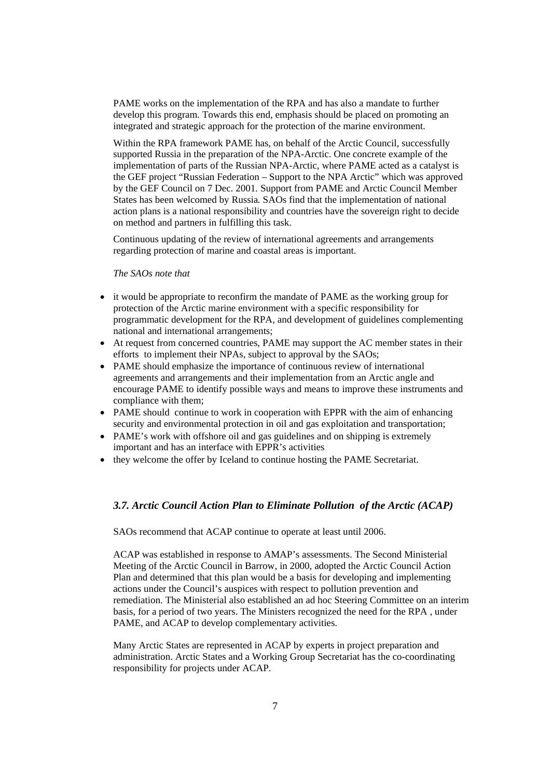PAME works on the implementation of the RPA and has also a mandate to further develop this program. Towards this end, emphasis should be placed on promoting an integrated and strategic approach for the protection of the marine environment.

Within the RPA framework PAME has, on behalf of the Arctic Council, successfully supported Russia in the preparation of the NPA-Arctic. One concrete example of the implementation of parts of the Russian NPA-Arctic, where PAME acted as a catalyst is the GEF project "Russian Federation – Support to the NPA Arctic" which was approved by the GEF Council on 7 Dec. 2001*.* Support from PAME and Arctic Council Member States has been welcomed by Russia*.* SAOs find that the implementation of national action plans is a national responsibility and countries have the sovereign right to decide on method and partners in fulfilling this task.

Continuous updating of the review of international agreements and arrangements regarding protection of marine and coastal areas is important.

#### *The SAOs note that*

- it would be appropriate to reconfirm the mandate of PAME as the working group for protection of the Arctic marine environment with a specific responsibility for programmatic development for the RPA, and development of guidelines complementing national and international arrangements;
- At request from concerned countries, PAME may support the AC member states in their efforts to implement their NPAs, subject to approval by the SAOs;
- PAME should emphasize the importance of continuous review of international agreements and arrangements and their implementation from an Arctic angle and encourage PAME to identify possible ways and means to improve these instruments and compliance with them;
- PAME should continue to work in cooperation with EPPR with the aim of enhancing security and environmental protection in oil and gas exploitation and transportation;
- PAME's work with offshore oil and gas guidelines and on shipping is extremely important and has an interface with EPPR's activities
- they welcome the offer by Iceland to continue hosting the PAME Secretariat.

#### *3.7. Arctic Council Action Plan to Eliminate Pollution of the Arctic (ACAP)*

SAOs recommend that ACAP continue to operate at least until 2006.

ACAP was established in response to AMAP's assessments. The Second Ministerial Meeting of the Arctic Council in Barrow, in 2000, adopted the Arctic Council Action Plan and determined that this plan would be a basis for developing and implementing actions under the Council's auspices with respect to pollution prevention and remediation. The Ministerial also established an ad hoc Steering Committee on an interim basis, for a period of two years. The Ministers recognized the need for the RPA , under PAME, and ACAP to develop complementary activities.

Many Arctic States are represented in ACAP by experts in project preparation and administration. Arctic States and a Working Group Secretariat has the co-coordinating responsibility for projects under ACAP.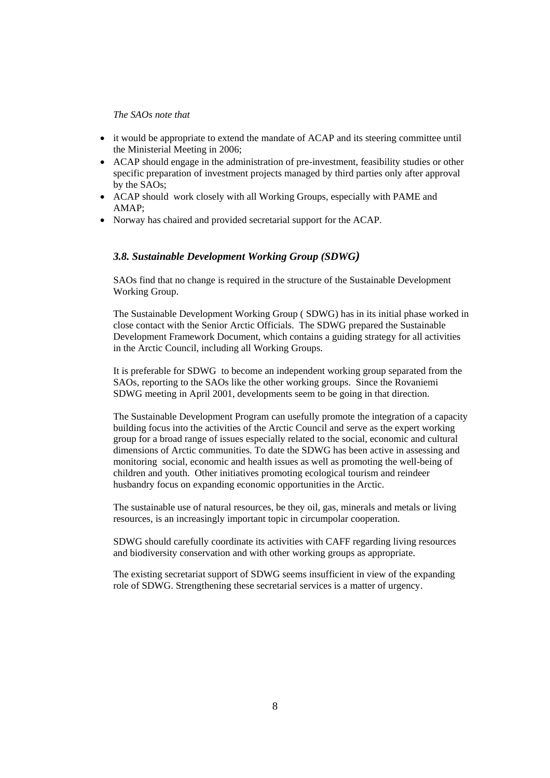#### *The SAOs note that*

- it would be appropriate to extend the mandate of ACAP and its steering committee until the Ministerial Meeting in 2006;
- ACAP should engage in the administration of pre-investment, feasibility studies or other specific preparation of investment projects managed by third parties only after approval by the SAOs;
- ACAP should work closely with all Working Groups, especially with PAME and AMAP;
- Norway has chaired and provided secretarial support for the ACAP.

## *3.8. Sustainable Development Working Group (SDWG)*

SAOs find that no change is required in the structure of the Sustainable Development Working Group.

The Sustainable Development Working Group ( SDWG) has in its initial phase worked in close contact with the Senior Arctic Officials. The SDWG prepared the Sustainable Development Framework Document, which contains a guiding strategy for all activities in the Arctic Council, including all Working Groups.

It is preferable for SDWG to become an independent working group separated from the SAOs, reporting to the SAOs like the other working groups. Since the Rovaniemi SDWG meeting in April 2001, developments seem to be going in that direction.

The Sustainable Development Program can usefully promote the integration of a capacity building focus into the activities of the Arctic Council and serve as the expert working group for a broad range of issues especially related to the social, economic and cultural dimensions of Arctic communities. To date the SDWG has been active in assessing and monitoring social, economic and health issues as well as promoting the well-being of children and youth. Other initiatives promoting ecological tourism and reindeer husbandry focus on expanding economic opportunities in the Arctic.

The sustainable use of natural resources, be they oil, gas, minerals and metals or living resources, is an increasingly important topic in circumpolar cooperation.

SDWG should carefully coordinate its activities with CAFF regarding living resources and biodiversity conservation and with other working groups as appropriate.

The existing secretariat support of SDWG seems insufficient in view of the expanding role of SDWG. Strengthening these secretarial services is a matter of urgency.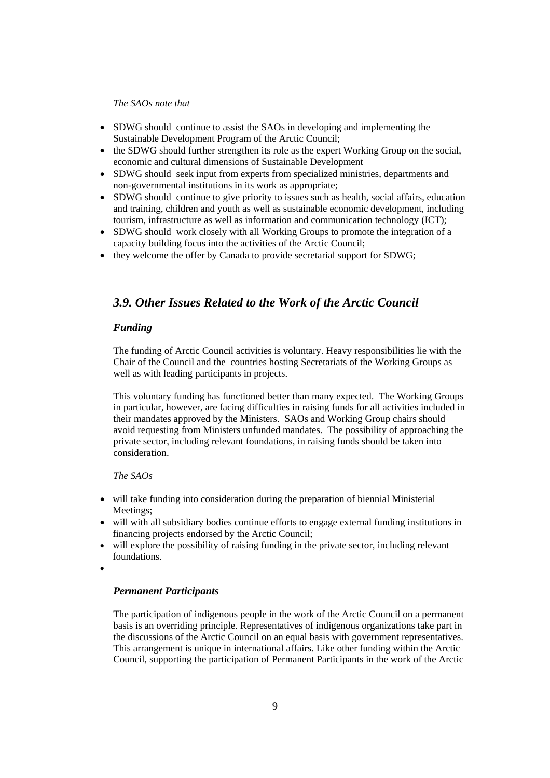#### *The SAOs note that*

- SDWG should continue to assist the SAOs in developing and implementing the Sustainable Development Program of the Arctic Council;
- the SDWG should further strengthen its role as the expert Working Group on the social, economic and cultural dimensions of Sustainable Development
- SDWG should seek input from experts from specialized ministries, departments and non-governmental institutions in its work as appropriate;
- SDWG should continue to give priority to issues such as health, social affairs, education and training, children and youth as well as sustainable economic development, including tourism, infrastructure as well as information and communication technology (ICT);
- SDWG should work closely with all Working Groups to promote the integration of a capacity building focus into the activities of the Arctic Council;
- they welcome the offer by Canada to provide secretarial support for SDWG;

## *3.9. Other Issues Related to the Work of the Arctic Council*

## *Funding*

The funding of Arctic Council activities is voluntary. Heavy responsibilities lie with the Chair of the Council and the countries hosting Secretariats of the Working Groups as well as with leading participants in projects.

This voluntary funding has functioned better than many expected. The Working Groups in particular, however, are facing difficulties in raising funds for all activities included in their mandates approved by the Ministers. SAOs and Working Group chairs should avoid requesting from Ministers unfunded mandates. The possibility of approaching the private sector, including relevant foundations, in raising funds should be taken into consideration.

## *The SAOs*

- will take funding into consideration during the preparation of biennial Ministerial Meetings;
- will with all subsidiary bodies continue efforts to engage external funding institutions in financing projects endorsed by the Arctic Council;
- will explore the possibility of raising funding in the private sector, including relevant foundations.
- •

#### *Permanent Participants*

The participation of indigenous people in the work of the Arctic Council on a permanent basis is an overriding principle. Representatives of indigenous organizations take part in the discussions of the Arctic Council on an equal basis with government representatives. This arrangement is unique in international affairs. Like other funding within the Arctic Council, supporting the participation of Permanent Participants in the work of the Arctic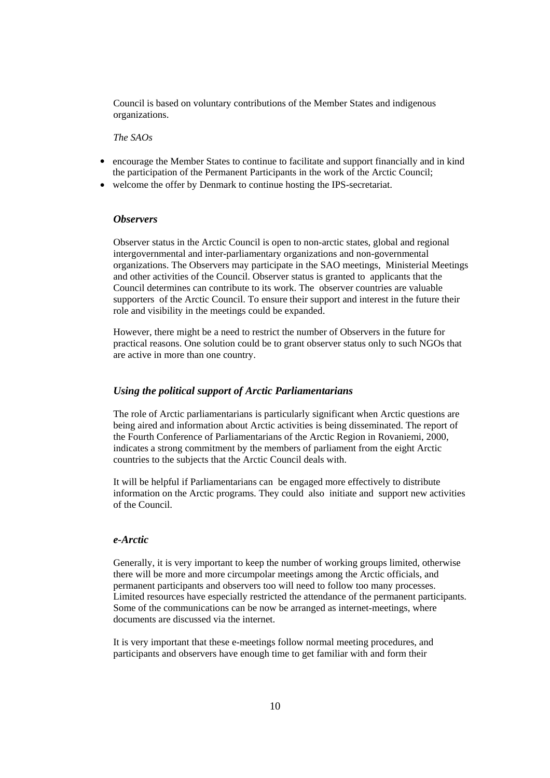Council is based on voluntary contributions of the Member States and indigenous organizations.

*The SAOs* 

- encourage the Member States to continue to facilitate and support financially and in kind the participation of the Permanent Participants in the work of the Arctic Council;
- welcome the offer by Denmark to continue hosting the IPS-secretariat.

#### *Observers*

Observer status in the Arctic Council is open to non-arctic states, global and regional intergovernmental and inter-parliamentary organizations and non-governmental organizations. The Observers may participate in the SAO meetings, Ministerial Meetings and other activities of the Council. Observer status is granted to applicants that the Council determines can contribute to its work. The observer countries are valuable supporters of the Arctic Council. To ensure their support and interest in the future their role and visibility in the meetings could be expanded.

However, there might be a need to restrict the number of Observers in the future for practical reasons. One solution could be to grant observer status only to such NGOs that are active in more than one country.

#### *Using the political support of Arctic Parliamentarians*

The role of Arctic parliamentarians is particularly significant when Arctic questions are being aired and information about Arctic activities is being disseminated. The report of the Fourth Conference of Parliamentarians of the Arctic Region in Rovaniemi, 2000, indicates a strong commitment by the members of parliament from the eight Arctic countries to the subjects that the Arctic Council deals with.

It will be helpful if Parliamentarians can be engaged more effectively to distribute information on the Arctic programs. They could also initiate and support new activities of the Council.

#### *e-Arctic*

Generally, it is very important to keep the number of working groups limited, otherwise there will be more and more circumpolar meetings among the Arctic officials, and permanent participants and observers too will need to follow too many processes. Limited resources have especially restricted the attendance of the permanent participants. Some of the communications can be now be arranged as internet-meetings, where documents are discussed via the internet.

It is very important that these e-meetings follow normal meeting procedures, and participants and observers have enough time to get familiar with and form their